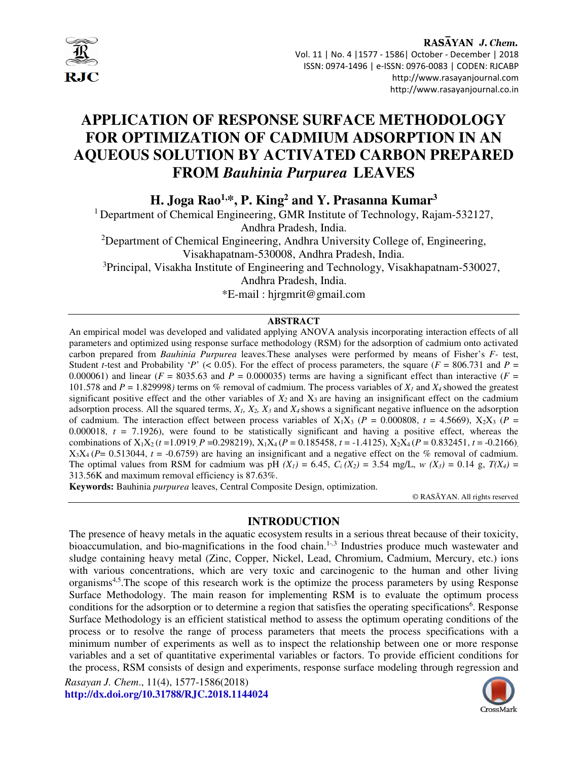

RASAYAN J. Chem. Vol. 11 | No. 4 |1577 - 1586| October - December | 2018 ISSN: 0974-1496 | e-ISSN: 0976-0083 | CODEN: RJCABP http://www.rasayanjournal.com http://www.rasayanjournal.co.in

# **APPLICATION OF RESPONSE SURFACE METHODOLOGY FOR OPTIMIZATION OF CADMIUM ADSORPTION IN AN AQUEOUS SOLUTION BY ACTIVATED CARBON PREPARED FROM** *Bauhinia Purpurea* **LEAVES**

**H. Joga Rao1,\*, P. King<sup>2</sup> and Y. Prasanna Kumar<sup>3</sup>**

<sup>1</sup> Department of Chemical Engineering, GMR Institute of Technology, Rajam-532127, Andhra Pradesh, India. <sup>2</sup>Department of Chemical Engineering, Andhra University College of, Engineering, Visakhapatnam-530008, Andhra Pradesh, India. <sup>3</sup>Principal, Visakha Institute of Engineering and Technology, Visakhapatnam-530027, Andhra Pradesh, India.

\*E-mail : hjrgmrit@gmail.com

# **ABSTRACT**

An empirical model was developed and validated applying ANOVA analysis incorporating interaction effects of all parameters and optimized using response surface methodology (RSM) for the adsorption of cadmium onto activated carbon prepared from *Bauhinia Purpurea* leaves.These analyses were performed by means of Fisher's *F-* test, Student *t*-test and Probability '*P*' (< 0.05). For the effect of process parameters, the square ( $F = 806.731$  and  $P =$ 0.000061) and linear ( $F = 8035.63$  and  $P = 0.000035$ ) terms are having a significant effect than interactive ( $F = 0.000061$ ) 101.578 and  $P = 1.829998$  terms on % removal of cadmium. The process variables of  $X_I$  and  $X_I$  showed the greatest significant positive effect and the other variables of  $X_2$  and  $X_3$  are having an insignificant effect on the cadmium adsorption process. All the squared terms,  $X_1$ ,  $X_2$ ,  $X_3$  and  $X_4$  shows a significant negative influence on the adsorption of cadmium. The interaction effect between process variables of  $X_1X_3$  ( $P = 0.000808$ ,  $t = 4.5669$ ),  $X_2X_3$  ( $P =$ 0.000018,  $t = 7.1926$ ), were found to be statistically significant and having a positive effect, whereas the combinations of  $X_1X_2$  ( $t = 1.0919$ ,  $P = 0.298219$ ),  $X_1X_4$  ( $P = 0.185458$ ,  $t = -1.4125$ ),  $X_2X_4$  ( $P = 0.832451$ ,  $t = -0.2166$ ),  $X_3X_4$  (*P*= 0.513044, *t* = -0.6759) are having an insignificant and a negative effect on the % removal of cadmium. The optimal values from RSM for cadmium was pH  $(X_i) = 6.45$ ,  $C_i(X_2) = 3.54$  mg/L,  $w(X_3) = 0.14$  g,  $T(X_4) = 0.14$ 313.56K and maximum removal efficiency is 87.63%.

**Keywords:** Bauhinia *purpurea* leaves, Central Composite Design, optimization.

© RASĀYAN. All rights reserved

# **INTRODUCTION**

The presence of heavy metals in the aquatic ecosystem results in a serious threat because of their toxicity, bioaccumulation, and bio-magnifications in the food chain.<sup>1-,3</sup> Industries produce much wastewater and sludge containing heavy metal (Zinc, Copper, Nickel, Lead, Chromium, Cadmium, Mercury, etc.) ions with various concentrations, which are very toxic and carcinogenic to the human and other living organisms4,5.The scope of this research work is the optimize the process parameters by using Response Surface Methodology. The main reason for implementing RSM is to evaluate the optimum process conditions for the adsorption or to determine a region that satisfies the operating specifications<sup>6</sup>. Response Surface Methodology is an efficient statistical method to assess the optimum operating conditions of the process or to resolve the range of process parameters that meets the process specifications with a minimum number of experiments as well as to inspect the relationship between one or more response variables and a set of quantitative experimental variables or factors. To provide efficient conditions for the process, RSM consists of design and experiments, response surface modeling through regression and

*Rasayan J. Chem*., 11(4), 1577-1586(2018) **http://dx.doi.org/10.31788/RJC.2018.1144024** 

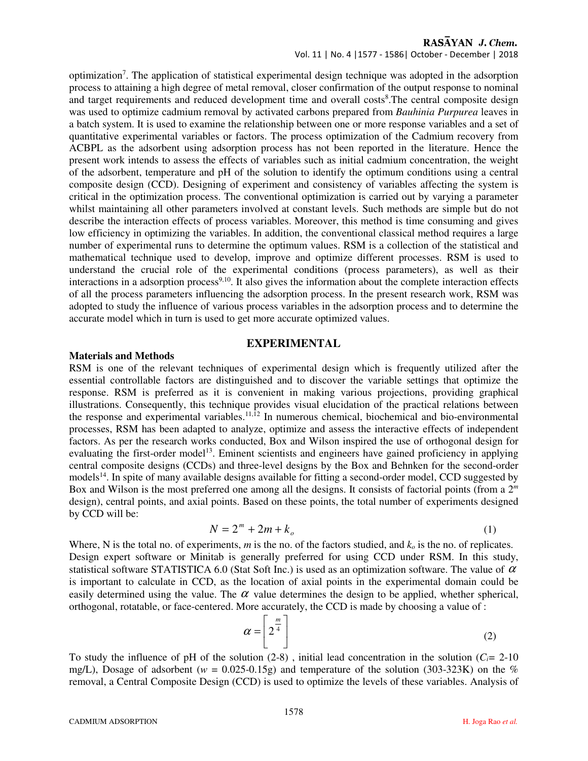Vol. 11 | No. 4 |1577 - 1586| October - December | 2018

optimization<sup>7</sup>. The application of statistical experimental design technique was adopted in the adsorption process to attaining a high degree of metal removal, closer confirmation of the output response to nominal and target requirements and reduced development time and overall costs<sup>8</sup>. The central composite design was used to optimize cadmium removal by activated carbons prepared from *Bauhinia Purpurea* leaves in a batch system. It is used to examine the relationship between one or more response variables and a set of quantitative experimental variables or factors. The process optimization of the Cadmium recovery from ACBPL as the adsorbent using adsorption process has not been reported in the literature. Hence the present work intends to assess the effects of variables such as initial cadmium concentration, the weight of the adsorbent, temperature and pH of the solution to identify the optimum conditions using a central composite design (CCD). Designing of experiment and consistency of variables affecting the system is critical in the optimization process. The conventional optimization is carried out by varying a parameter whilst maintaining all other parameters involved at constant levels. Such methods are simple but do not describe the interaction effects of process variables. Moreover, this method is time consuming and gives low efficiency in optimizing the variables. In addition, the conventional classical method requires a large number of experimental runs to determine the optimum values. RSM is a collection of the statistical and mathematical technique used to develop, improve and optimize different processes. RSM is used to understand the crucial role of the experimental conditions (process parameters), as well as their interactions in a adsorption process<sup>9,10</sup>. It also gives the information about the complete interaction effects of all the process parameters influencing the adsorption process. In the present research work, RSM was adopted to study the influence of various process variables in the adsorption process and to determine the accurate model which in turn is used to get more accurate optimized values.

# **EXPERIMENTAL**

# **Materials and Methods**

RSM is one of the relevant techniques of experimental design which is frequently utilized after the essential controllable factors are distinguished and to discover the variable settings that optimize the response. RSM is preferred as it is convenient in making various projections, providing graphical illustrations. Consequently, this technique provides visual elucidation of the practical relations between the response and experimental variables.11,12 In numerous chemical, biochemical and bio-environmental processes, RSM has been adapted to analyze, optimize and assess the interactive effects of independent factors. As per the research works conducted, Box and Wilson inspired the use of orthogonal design for evaluating the first-order model<sup>13</sup>. Eminent scientists and engineers have gained proficiency in applying central composite designs (CCDs) and three-level designs by the Box and Behnken for the second-order models<sup>14</sup>. In spite of many available designs available for fitting a second-order model, CCD suggested by Box and Wilson is the most preferred one among all the designs. It consists of factorial points (from a 2*<sup>m</sup>* design), central points, and axial points. Based on these points, the total number of experiments designed by CCD will be:

$$
N = 2m + 2m + ko
$$
 (1)

Where, N is the total no. of experiments, *m* is the no. of the factors studied, and *ko* is the no. of replicates. Design expert software or Minitab is generally preferred for using CCD under RSM. In this study, statistical software STATISTICA 6.0 (Stat Soft Inc.) is used as an optimization software. The value of  $\alpha$ is important to calculate in CCD, as the location of axial points in the experimental domain could be easily determined using the value. The  $\alpha$  value determines the design to be applied, whether spherical, orthogonal, rotatable, or face-centered. More accurately, the CCD is made by choosing a value of :

$$
\alpha = \left[2^{\frac{m}{4}}\right]
$$
 (2)

To study the influence of pH of the solution  $(2-8)$ , initial lead concentration in the solution  $(C_i = 2-10)$ mg/L), Dosage of adsorbent ( $w = 0.025$ -0.15g) and temperature of the solution (303-323K) on the % removal, a Central Composite Design (CCD) is used to optimize the levels of these variables. Analysis of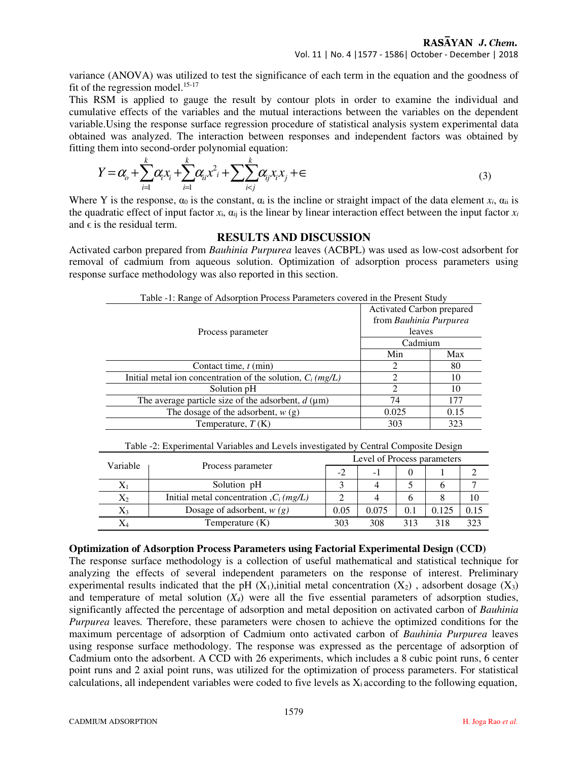variance (ANOVA) was utilized to test the significance of each term in the equation and the goodness of fit of the regression model. $15-17$ 

This RSM is applied to gauge the result by contour plots in order to examine the individual and cumulative effects of the variables and the mutual interactions between the variables on the dependent variable.Using the response surface regression procedure of statistical analysis system experimental data obtained was analyzed. The interaction between responses and independent factors was obtained by fitting them into second-order polynomial equation:

$$
Y = \alpha_{0} + \sum_{i=1}^{k} \alpha_{i} x_{i} + \sum_{i=1}^{k} \alpha_{i} x^{2} + \sum_{i < j} \sum_{i < j} \alpha_{i} x_{i} x_{j} + \epsilon
$$
\n(3)

Where Y is the response,  $\alpha_0$  is the constant,  $\alpha_i$  is the incline or straight impact of the data element  $x_i$ ,  $\alpha_{ii}$  is the quadratic effect of input factor  $x_i$ ,  $\alpha_{ii}$  is the linear by linear interaction effect between the input factor  $x_i$ and  $\epsilon$  is the residual term.

#### **RESULTS AND DISCUSSION**

Activated carbon prepared from *Bauhinia Purpurea* leaves (ACBPL) was used as low-cost adsorbent for removal of cadmium from aqueous solution. Optimization of adsorption process parameters using response surface methodology was also reported in this section.

| Table 1. Kange of Taborphon I Tocess I alaments covered in the Frescht Stady |                                                               |      |  |  |  |  |  |
|------------------------------------------------------------------------------|---------------------------------------------------------------|------|--|--|--|--|--|
|                                                                              | Activated Carbon prepared<br>from Bauhinia Purpurea<br>leaves |      |  |  |  |  |  |
|                                                                              |                                                               |      |  |  |  |  |  |
| Process parameter                                                            |                                                               |      |  |  |  |  |  |
|                                                                              | Cadmium                                                       |      |  |  |  |  |  |
|                                                                              | Min                                                           | Max  |  |  |  |  |  |
| Contact time, $t$ (min)                                                      |                                                               | 80   |  |  |  |  |  |
| Initial metal ion concentration of the solution, $C_i$ (mg/L)                |                                                               | 10   |  |  |  |  |  |
| Solution pH                                                                  | $\mathfrak{D}$                                                | 10   |  |  |  |  |  |
| The average particle size of the adsorbent, $d$ ( $\mu$ m)                   | 74                                                            | 177  |  |  |  |  |  |
| The dosage of the adsorbent, $w(g)$                                          | 0.025                                                         | 0.15 |  |  |  |  |  |
| Temperature, $T(K)$                                                          | 303                                                           | 323  |  |  |  |  |  |

Table -1: Range of Adsorption Process Parameters covered in the Present Study

| Table -2: Experimental Variables and Levels investigated by Central Composite Design |
|--------------------------------------------------------------------------------------|
|--------------------------------------------------------------------------------------|

| Variable |                                                    | Level of Process parameters |       |     |       |      |  |
|----------|----------------------------------------------------|-----------------------------|-------|-----|-------|------|--|
|          | Process parameter                                  | $-2$                        | - 1   |     |       |      |  |
|          | Solution pH                                        |                             |       |     |       |      |  |
| $X_2$    | Initial metal concentration, $C_i$ ( <i>mg/L</i> ) |                             |       |     |       |      |  |
| $X_3$    | Dosage of adsorbent, $w(g)$                        | 0.05                        | 0.075 | 0.1 | 0.125 | 0.15 |  |
|          | Temperature $(K)$                                  | 303                         | 308   | 313 | 318   | 323  |  |

#### **Optimization of Adsorption Process Parameters using Factorial Experimental Design (CCD)**

The response surface methodology is a collection of useful mathematical and statistical technique for analyzing the effects of several independent parameters on the response of interest. Preliminary experimental results indicated that the pH  $(X_1)$ , initial metal concentration  $(X_2)$ , adsorbent dosage  $(X_3)$ and temperature of metal solution  $(X_4)$  were all the five essential parameters of adsorption studies, significantly affected the percentage of adsorption and metal deposition on activated carbon of *Bauhinia Purpurea* leaves*.* Therefore, these parameters were chosen to achieve the optimized conditions for the maximum percentage of adsorption of Cadmium onto activated carbon of *Bauhinia Purpurea* leaves using response surface methodology. The response was expressed as the percentage of adsorption of Cadmium onto the adsorbent. A CCD with 26 experiments, which includes a 8 cubic point runs, 6 center point runs and 2 axial point runs, was utilized for the optimization of process parameters. For statistical calculations, all independent variables were coded to five levels as  $X_i$  according to the following equation,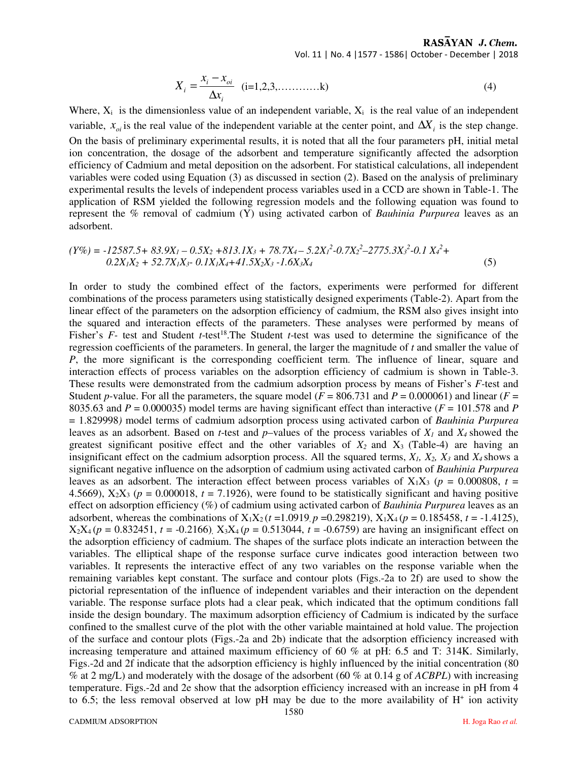RASAYAN J. Chem. Vol. 11 | No. 4 |1577 - 1586| October - December | 2018

$$
X_i = \frac{x_i - x_{oi}}{\Delta x_i} \quad (i=1,2,3,\ldots,\ldots,k)
$$
 (4)

Where,  $X_i$  is the dimensionless value of an independent variable,  $X_i$  is the real value of an independent variable,  $x_{oi}$  is the real value of the independent variable at the center point, and  $\Delta X_i$  is the step change. On the basis of preliminary experimental results, it is noted that all the four parameters pH, initial metal ion concentration, the dosage of the adsorbent and temperature significantly affected the adsorption efficiency of Cadmium and metal deposition on the adsorbent. For statistical calculations, all independent variables were coded using Equation (3) as discussed in section (2). Based on the analysis of preliminary experimental results the levels of independent process variables used in a CCD are shown in Table-1. The application of RSM yielded the following regression models and the following equation was found to represent the % removal of cadmium (Y) using activated carbon of *Bauhinia Purpurea* leaves as an adsorbent.

$$
(Y\%) = -12587.5 + 83.9X1 - 0.5X2 + 813.1X3 + 78.7X4 - 5.2X12 - 0.7X22 - 2775.3X32 - 0.1 X42 + 0.2X1X2 + 52.7X1X3 - 0.1X1X4 + 41.5X2X3 - 1.6X3X4
$$
\n(5)

In order to study the combined effect of the factors, experiments were performed for different combinations of the process parameters using statistically designed experiments (Table-2). Apart from the linear effect of the parameters on the adsorption efficiency of cadmium, the RSM also gives insight into the squared and interaction effects of the parameters. These analyses were performed by means of Fisher's *F*- test and Student *t*-test<sup>18</sup>.The Student *t*-test was used to determine the significance of the regression coefficients of the parameters. In general, the larger the magnitude of *t* and smaller the value of *P*, the more significant is the corresponding coefficient term. The influence of linear, square and interaction effects of process variables on the adsorption efficiency of cadmium is shown in Table-3. These results were demonstrated from the cadmium adsorption process by means of Fisher's *F-*test and Student *p*-value. For all the parameters, the square model ( $F = 806.731$  and  $P = 0.000061$ ) and linear ( $F =$ 8035.63 and  $P = 0.000035$ ) model terms are having significant effect than interactive ( $F = 101.578$  and  $P$ = 1.829998*)* model terms of cadmium adsorption process using activated carbon of *Bauhinia Purpurea*  leaves as an adsorbent. Based on *t*-test and *p*–values of the process variables of *X1* and *X4* showed the greatest significant positive effect and the other variables of  $X_2$  and  $X_3$  (Table-4) are having an insignificant effect on the cadmium adsorption process. All the squared terms, *X1, X2, X<sup>3</sup>* and *X4* shows a significant negative influence on the adsorption of cadmium using activated carbon of *Bauhinia Purpurea*  leaves as an adsorbent. The interaction effect between process variables of  $X_1X_3$  ( $p = 0.000808$ ,  $t =$ 4.5669),  $X_2X_3$  ( $p = 0.000018$ ,  $t = 7.1926$ ), were found to be statistically significant and having positive effect on adsorption efficiency (%) of cadmium using activated carbon of *Bauhinia Purpurea* leaves as an adsorbent, whereas the combinations of  $X_1X_2$  (*t* = 1.0919, *p* = 0.298219),  $X_1X_4$  (*p* = 0.185458, *t* = -1.4125),  $X_2X_4(p = 0.832451, t = -0.2166)$ ,  $X_3X_4(p = 0.513044, t = -0.6759)$  are having an insignificant effect on the adsorption efficiency of cadmium. The shapes of the surface plots indicate an interaction between the variables. The elliptical shape of the response surface curve indicates good interaction between two variables. It represents the interactive effect of any two variables on the response variable when the remaining variables kept constant. The surface and contour plots (Figs.-2a to 2f) are used to show the pictorial representation of the influence of independent variables and their interaction on the dependent variable. The response surface plots had a clear peak, which indicated that the optimum conditions fall inside the design boundary. The maximum adsorption efficiency of Cadmium is indicated by the surface confined to the smallest curve of the plot with the other variable maintained at hold value. The projection of the surface and contour plots (Figs.-2a and 2b) indicate that the adsorption efficiency increased with increasing temperature and attained maximum efficiency of 60 % at pH: 6.5 and T: 314K. Similarly, Figs.-2d and 2f indicate that the adsorption efficiency is highly influenced by the initial concentration (80 % at 2 mg/L) and moderately with the dosage of the adsorbent (60 % at 0.14 g of *ACBPL*) with increasing temperature. Figs.-2d and 2e show that the adsorption efficiency increased with an increase in pH from 4 to 6.5; the less removal observed at low pH may be due to the more availability of  $H^+$  ion activity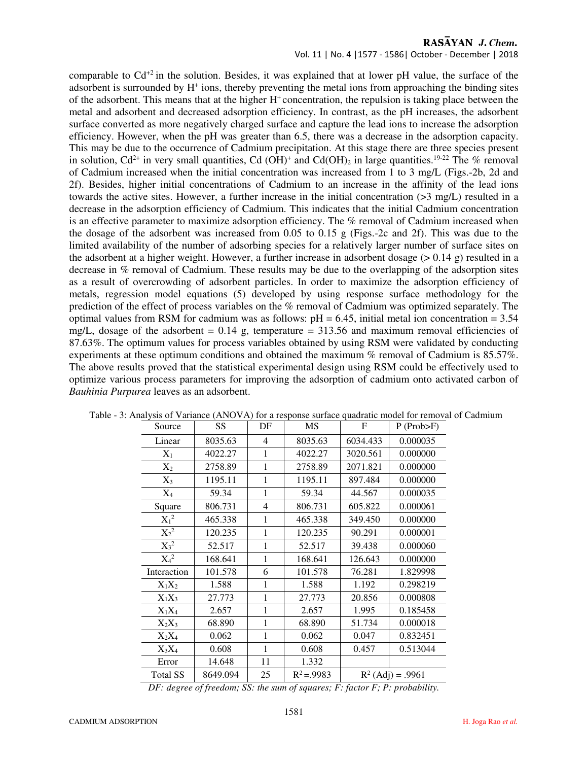Vol. 11 | No. 4 |1577 - 1586| October - December | 2018

comparable to  $Cd^{+2}$  in the solution. Besides, it was explained that at lower pH value, the surface of the adsorbent is surrounded by H<sup>+</sup> ions, thereby preventing the metal ions from approaching the binding sites of the adsorbent. This means that at the higher  $H<sup>+</sup>$  concentration, the repulsion is taking place between the metal and adsorbent and decreased adsorption efficiency. In contrast, as the pH increases, the adsorbent surface converted as more negatively charged surface and capture the lead ions to increase the adsorption efficiency. However, when the pH was greater than 6.5, there was a decrease in the adsorption capacity. This may be due to the occurrence of Cadmium precipitation. At this stage there are three species present in solution,  $Cd^{2+}$  in very small quantities, Cd (OH)<sup>+</sup> and Cd(OH)<sub>2</sub> in large quantities.<sup>19-22</sup> The % removal of Cadmium increased when the initial concentration was increased from 1 to 3 mg/L (Figs.-2b, 2d and 2f). Besides, higher initial concentrations of Cadmium to an increase in the affinity of the lead ions towards the active sites. However, a further increase in the initial concentration  $(>3 \text{ mg/L})$  resulted in a decrease in the adsorption efficiency of Cadmium. This indicates that the initial Cadmium concentration is an effective parameter to maximize adsorption efficiency. The % removal of Cadmium increased when the dosage of the adsorbent was increased from 0.05 to 0.15 g (Figs.-2c and 2f). This was due to the limited availability of the number of adsorbing species for a relatively larger number of surface sites on the adsorbent at a higher weight. However, a further increase in adsorbent dosage  $(> 0.14 \text{ g})$  resulted in a decrease in % removal of Cadmium. These results may be due to the overlapping of the adsorption sites as a result of overcrowding of adsorbent particles. In order to maximize the adsorption efficiency of metals, regression model equations (5) developed by using response surface methodology for the prediction of the effect of process variables on the % removal of Cadmium was optimized separately. The optimal values from RSM for cadmium was as follows:  $pH = 6.45$ , initial metal ion concentration = 3.54 mg/L, dosage of the adsorbent =  $0.14$  g, temperature = 313.56 and maximum removal efficiencies of 87.63%. The optimum values for process variables obtained by using RSM were validated by conducting experiments at these optimum conditions and obtained the maximum % removal of Cadmium is 85.57%. The above results proved that the statistical experimental design using RSM could be effectively used to optimize various process parameters for improving the adsorption of cadmium onto activated carbon of *Bauhinia Purpurea* leaves as an adsorbent.

| Source          | <b>SS</b> | DF           | <b>MS</b>      | F        | $P$ (Prob $\triangleright$ F) |
|-----------------|-----------|--------------|----------------|----------|-------------------------------|
| Linear          | 8035.63   | 4            | 8035.63        | 6034.433 | 0.000035                      |
| $X_1$           | 4022.27   | 1            | 4022.27        | 3020.561 | 0.000000                      |
| $X_2$           | 2758.89   | 1            | 2758.89        | 2071.821 | 0.000000                      |
| $X_3$           | 1195.11   | 1            | 1195.11        | 897.484  | 0.000000                      |
| $X_4$           | 59.34     | 1            | 59.34          | 44.567   | 0.000035                      |
| Square          | 806.731   | 4            | 806.731        | 605.822  | 0.000061                      |
| $X_1{}^2$       | 465.338   | 1            | 465.338        | 349.450  | 0.000000                      |
| $X_2^2$         | 120.235   | 1            | 120.235        | 90.291   | 0.000001                      |
| $X_3^2$         | 52.517    | 1            | 52.517         | 39.438   | 0.000060                      |
| $X_4{}^2$       | 168.641   | 1            | 168.641        | 126.643  | 0.000000                      |
| Interaction     | 101.578   | 6            | 101.578        | 76.281   | 1.829998                      |
| $X_1X_2$        | 1.588     | 1            | 1.588          | 1.192    | 0.298219                      |
| $X_1X_3$        | 27.773    | 1            | 27.773         | 20.856   | 0.000808                      |
| $X_1X_4$        | 2.657     | 1            | 2.657          | 1.995    | 0.185458                      |
| $X_2X_3$        | 68.890    | 1            | 68.890         | 51.734   | 0.000018                      |
| $X_2X_4$        | 0.062     | $\mathbf{1}$ | 0.062          | 0.047    | 0.832451                      |
| $X_3X_4$        | 0.608     | 1            | 0.608          | 0.457    | 0.513044                      |
| Error           | 14.648    | 11           | 1.332          |          |                               |
| <b>Total SS</b> | 8649.094  | 25           | $R^2 = 0.9983$ |          | $R^2$ (Adj) = .9961           |

|  |  |  | Table - 3: Analysis of Variance (ANOVA) for a response surface quadratic model for removal of Cadmium |
|--|--|--|-------------------------------------------------------------------------------------------------------|
|  |  |  |                                                                                                       |

*DF: degree of freedom; SS: the sum of squares; F: factor F; P: probability.*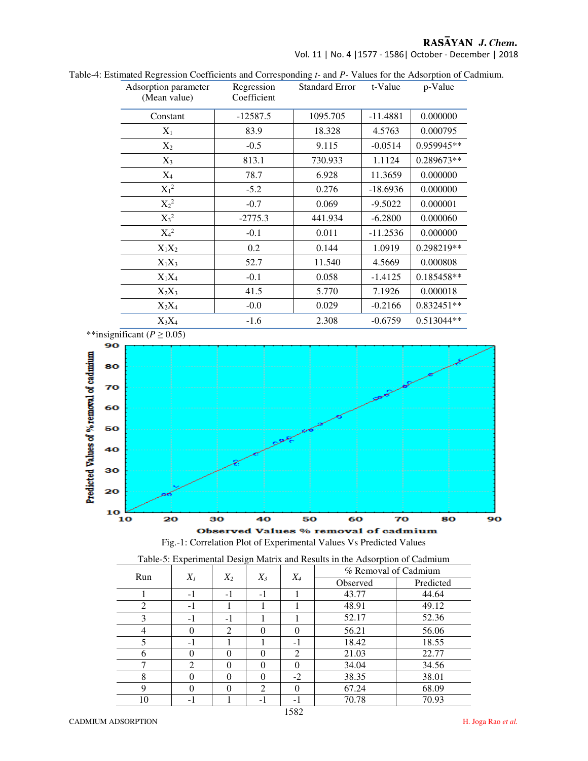Vol. 11 | No. 4 |1577 - 1586| October - December | 2018

| Adsorption parameter<br>(Mean value) | Regression<br>Coefficient | <b>Standard Error</b> | t-Value    | p-Value      |
|--------------------------------------|---------------------------|-----------------------|------------|--------------|
| Constant                             | $-12587.5$                | 1095.705              | $-11.4881$ | 0.000000     |
| $X_1$                                | 83.9                      | 18.328                | 4.5763     | 0.000795     |
| $X_2$                                | $-0.5$                    | 9.115                 | $-0.0514$  | 0.959945**   |
| $X_3$                                | 813.1                     | 730.933               | 1.1124     | 0.289673**   |
| $X_4$                                | 78.7                      | 6.928                 | 11.3659    | 0.000000     |
| $X_1^2$                              | $-5.2$                    | 0.276                 | $-18.6936$ | 0.000000     |
| $X_2^2$                              | $-0.7$                    | 0.069                 | $-9.5022$  | 0.000001     |
| $X_3^2$                              | $-2775.3$                 | 441.934               | $-6.2800$  | 0.000060     |
| $X_4{}^2$                            | $-0.1$                    | 0.011                 | $-11.2536$ | 0.000000     |
| $X_1X_2$                             | 0.2                       | 0.144                 | 1.0919     | 0.298219**   |
| $X_1X_3$                             | 52.7                      | 11.540                | 4.5669     | 0.000808     |
| $X_1X_4$                             | $-0.1$                    | 0.058                 | $-1.4125$  | $0.185458**$ |
| $X_2X_3$                             | 41.5                      | 5.770                 | 7.1926     | 0.000018     |
| $X_2X_4$                             | $-0.0$                    | 0.029                 | $-0.2166$  | $0.832451**$ |
| $X_3X_4$                             | $-1.6$                    | 2.308                 | $-0.6759$  | 0.513044**   |

Table-4: Estimated Regression Coefficients and Corresponding *t-* and *P-* Values for the Adsorption of Cadmium.







| Run |          |                |                |          | $X_4$    | Tuote 5: Experimental Design frium and results in the ridiotiphon of cuttinum<br>% Removal of Cadmium |  |
|-----|----------|----------------|----------------|----------|----------|-------------------------------------------------------------------------------------------------------|--|
|     | $X_I$    | $X_2$          | $X_3$          |          | Observed | Predicted                                                                                             |  |
|     | $-1$     | -1             | $-1$           |          | 43.77    | 44.64                                                                                                 |  |
| ◠   | -1       |                |                |          | 48.91    | 49.12                                                                                                 |  |
|     | $-1$     | -1             |                |          | 52.17    | 52.36                                                                                                 |  |
|     | 0        | $\mathfrak{D}$ | $\Omega$       | $\Omega$ | 56.21    | 56.06                                                                                                 |  |
|     | $-1$     |                |                | $-1$     | 18.42    | 18.55                                                                                                 |  |
| 6   |          | 0              | $\Omega$       | 2        | 21.03    | 22.77                                                                                                 |  |
|     | ↑        | 0              | $\Omega$       | 0        | 34.04    | 34.56                                                                                                 |  |
| 8   |          | 0              | $\Omega$       | $-2$     | 38.35    | 38.01                                                                                                 |  |
| 9   | $\Omega$ | 0              | $\mathfrak{D}$ | 0        | 67.24    | 68.09                                                                                                 |  |
| 10  | -1       |                | - 1            | -1       | 70.78    | 70.93                                                                                                 |  |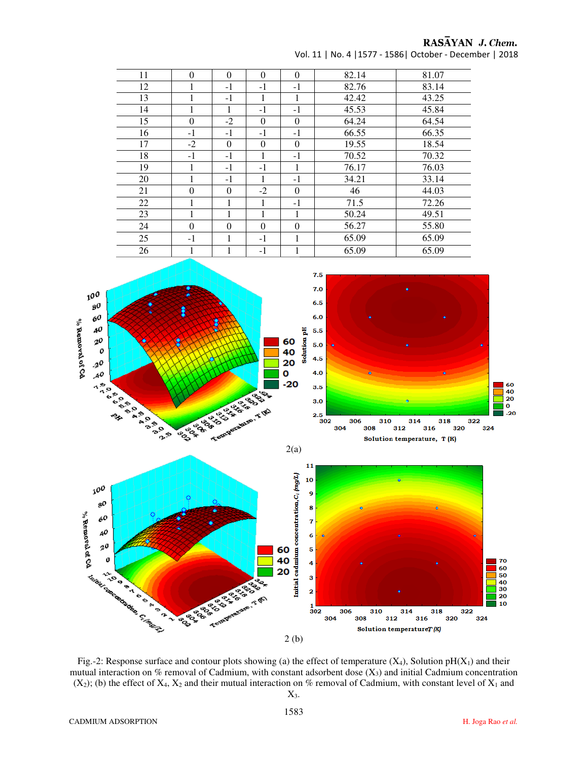Vol. 11 | No. 4 |1577 - 1586| October - December | 2018

| 11 | $\theta$ | $\theta$ | $\Omega$ | $\Omega$ | 82.14 | 81.07 |
|----|----------|----------|----------|----------|-------|-------|
| 12 | 1        | $-1$     | $-1$     | $-1$     | 82.76 | 83.14 |
| 13 | 1        | $-1$     | 1        | 1        | 42.42 | 43.25 |
| 14 | 1        | 1        | $-1$     | $-1$     | 45.53 | 45.84 |
| 15 | $\theta$ | $-2$     | $\Omega$ | $\Omega$ | 64.24 | 64.54 |
| 16 | $-1$     | $-1$     | $-1$     | $-1$     | 66.55 | 66.35 |
| 17 | $-2$     | $\Omega$ | $\Omega$ | $\Omega$ | 19.55 | 18.54 |
| 18 | $-1$     | $-1$     | 1        | $-1$     | 70.52 | 70.32 |
| 19 | 1        | $-1$     | $-1$     | 1        | 76.17 | 76.03 |
| 20 | 1        | $-1$     | 1        | $-1$     | 34.21 | 33.14 |
| 21 | $\theta$ | $\Omega$ | $-2$     | $\Omega$ | 46    | 44.03 |
| 22 | 1        | 1        | 1        | $-1$     | 71.5  | 72.26 |
| 23 | 1        | 1        | 1        | 1        | 50.24 | 49.51 |
| 24 | $\theta$ | $\theta$ | $\Omega$ | $\theta$ | 56.27 | 55.80 |
| 25 | $-1$     | 1        | $-1$     | 1        | 65.09 | 65.09 |
| 26 | 1        | 1        | $-1$     | 1        | 65.09 | 65.09 |



Fig.-2: Response surface and contour plots showing (a) the effect of temperature  $(X_4)$ , Solution pH $(X_1)$  and their mutual interaction on % removal of Cadmium, with constant adsorbent dose  $(X_3)$  and initial Cadmium concentration  $(X_2)$ ; (b) the effect of  $X_4$ ,  $X_2$  and their mutual interaction on % removal of Cadmium, with constant level of  $X_1$  and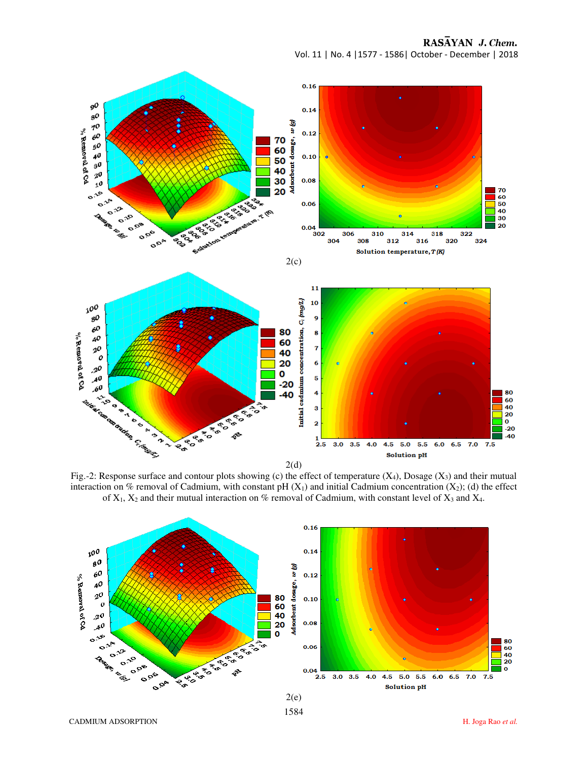RASAYAN J. Chem.

Vol. 11 | No. 4 |1577 - 1586| October - December | 2018



Fig.-2: Response surface and contour plots showing (c) the effect of temperature  $(X_4)$ , Dosage  $(X_3)$  and their mutual interaction on % removal of Cadmium, with constant pH  $(X_1)$  and initial Cadmium concentration  $(X_2)$ ; (d) the effect of  $X_1$ ,  $X_2$  and their mutual interaction on % removal of Cadmium, with constant level of  $X_3$  and  $X_4$ .

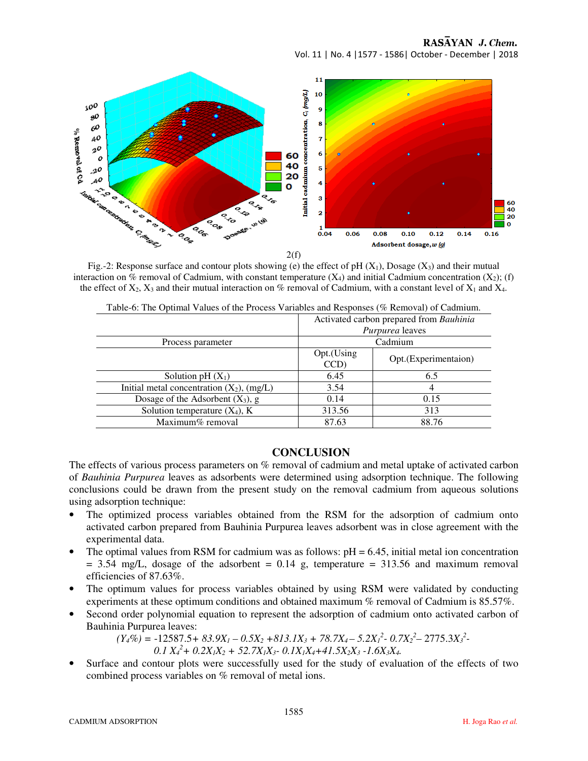RASAYAN J. Chem.

Vol. 11 | No. 4 |1577 - 1586| October - December | 2018



Fig.-2: Response surface and contour plots showing (e) the effect of pH  $(X_1)$ , Dosage  $(X_3)$  and their mutual interaction on % removal of Cadmium, with constant temperature  $(X_4)$  and initial Cadmium concentration  $(X_2)$ ; (f) the effect of  $X_2$ ,  $X_3$  and their mutual interaction on % removal of Cadmium, with a constant level of  $X_1$  and  $X_4$ .

| Table-6: The Optimal Values of the Process Variables and Responses (% Removal) of Cadmium. |                                         |                       |  |  |  |  |  |  |
|--------------------------------------------------------------------------------------------|-----------------------------------------|-----------------------|--|--|--|--|--|--|
|                                                                                            | Activated carbon prepared from Bauhinia |                       |  |  |  |  |  |  |
|                                                                                            | <i>Purpurea</i> leaves                  |                       |  |  |  |  |  |  |
| Process parameter                                                                          | Cadmium                                 |                       |  |  |  |  |  |  |
|                                                                                            | Opt.(Using<br>CCD)                      | Opt. (Experimentaion) |  |  |  |  |  |  |
| Solution pH $(X_1)$                                                                        | 6.45                                    | 6.5                   |  |  |  |  |  |  |
| Initial metal concentration $(X_2)$ , $(mg/L)$                                             | 3.54                                    |                       |  |  |  |  |  |  |
| Dosage of the Adsorbent $(X_3)$ , g                                                        | 0.14                                    | 0.15                  |  |  |  |  |  |  |
| Solution temperature $(X_4)$ , K                                                           | 313.56                                  | 313                   |  |  |  |  |  |  |
| Maximum% removal                                                                           | 87.63                                   | 88.76                 |  |  |  |  |  |  |
|                                                                                            |                                         |                       |  |  |  |  |  |  |

Table-6: The Optimal Values of the Process Variables and Responses (% Removal) of Cadmium.

# **CONCLUSION**

The effects of various process parameters on % removal of cadmium and metal uptake of activated carbon of *Bauhinia Purpurea* leaves as adsorbents were determined using adsorption technique. The following conclusions could be drawn from the present study on the removal cadmium from aqueous solutions using adsorption technique:

- The optimized process variables obtained from the RSM for the adsorption of cadmium onto activated carbon prepared from Bauhinia Purpurea leaves adsorbent was in close agreement with the experimental data.
- The optimal values from RSM for cadmium was as follows:  $pH = 6.45$ , initial metal ion concentration  $= 3.54$  mg/L, dosage of the adsorbent  $= 0.14$  g, temperature  $= 313.56$  and maximum removal efficiencies of 87.63%.
- The optimum values for process variables obtained by using RSM were validated by conducting experiments at these optimum conditions and obtained maximum % removal of Cadmium is 85.57%.
- Second order polynomial equation to represent the adsorption of cadmium onto activated carbon of Bauhinia Purpurea leaves:

 $(Y_4\%)$  = -12587.5+ 83.9X<sub>1</sub> - 0.5X<sub>2</sub> + 813.1X<sub>3</sub> + 78.7X<sub>4</sub> - 5.2X<sub>1</sub><sup>2</sup> - 0.7X<sub>2</sub><sup>2</sup> - 2775.3X<sub>3</sub><sup>2</sup> - $0.1 X_4^2 + 0.2X_1X_2 + 52.7X_1X_3 - 0.1X_1X_4 + 41.5X_2X_3 - 1.6X_3X_4$ 

Surface and contour plots were successfully used for the study of evaluation of the effects of two combined process variables on % removal of metal ions.